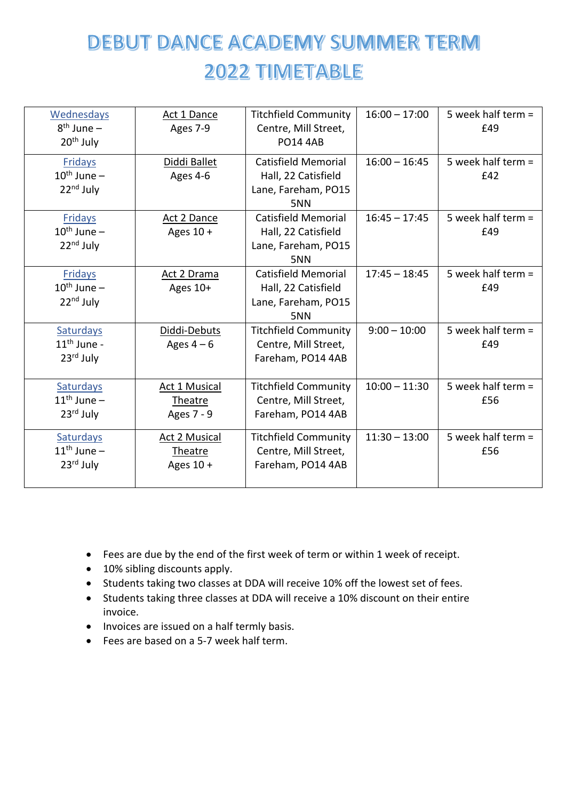## **DEBUT DANCE ACADEMY SUMMER TERM 2022 TIMETABLE**

| Wednesdays              | Act 1 Dance          | <b>Titchfield Community</b> | $16:00 - 17:00$ | 5 week half term $=$ |
|-------------------------|----------------------|-----------------------------|-----------------|----------------------|
| $8th$ June –            | Ages 7-9             | Centre, Mill Street,        |                 | £49                  |
| 20 <sup>th</sup> July   |                      | <b>PO14 4AB</b>             |                 |                      |
| <b>Fridays</b>          | Diddi Ballet         | <b>Catisfield Memorial</b>  | $16:00 - 16:45$ | 5 week half term $=$ |
| $10^{\text{th}}$ June – | Ages 4-6             | Hall, 22 Catisfield         |                 | £42                  |
| $22nd$ July             |                      | Lane, Fareham, PO15         |                 |                      |
|                         |                      | 5NN                         |                 |                      |
| <b>Fridays</b>          | Act 2 Dance          | <b>Catisfield Memorial</b>  | $16:45 - 17:45$ | 5 week half term $=$ |
| $10^{th}$ June $-$      | Ages 10 +            | Hall, 22 Catisfield         |                 | £49                  |
| $22nd$ July             |                      | Lane, Fareham, PO15         |                 |                      |
|                         |                      | 5NN                         |                 |                      |
| <b>Fridays</b>          | Act 2 Drama          | <b>Catisfield Memorial</b>  | $17:45 - 18:45$ | 5 week half term =   |
| $10^{\text{th}}$ June – | Ages 10+             | Hall, 22 Catisfield         |                 | £49                  |
| $22nd$ July             |                      | Lane, Fareham, PO15         |                 |                      |
|                         |                      | 5NN                         |                 |                      |
| Saturdays               | Diddi-Debuts         | <b>Titchfield Community</b> | $9:00 - 10:00$  | 5 week half term $=$ |
| $11th$ June -           | Ages $4-6$           | Centre, Mill Street,        |                 | £49                  |
| $23rd$ July             |                      | Fareham, PO14 4AB           |                 |                      |
|                         |                      |                             |                 |                      |
| Saturdays               | Act 1 Musical        | <b>Titchfield Community</b> | $10:00 - 11:30$ | 5 week half term =   |
| $11th$ June –           | Theatre              | Centre, Mill Street,        |                 | £56                  |
| $23rd$ July             | Ages 7 - 9           | Fareham, PO14 4AB           |                 |                      |
| <b>Saturdays</b>        | <b>Act 2 Musical</b> | <b>Titchfield Community</b> | $11:30 - 13:00$ | 5 week half term =   |
| $11th$ June –           | Theatre              | Centre, Mill Street,        |                 | £56                  |
| 23rd July               | Ages $10 +$          | Fareham, PO14 4AB           |                 |                      |
|                         |                      |                             |                 |                      |

- Fees are due by the end of the first week of term or within 1 week of receipt.
- 10% sibling discounts apply.
- Students taking two classes at DDA will receive 10% off the lowest set of fees.
- Students taking three classes at DDA will receive a 10% discount on their entire invoice.
- Invoices are issued on a half termly basis.
- Fees are based on a 5-7 week half term.